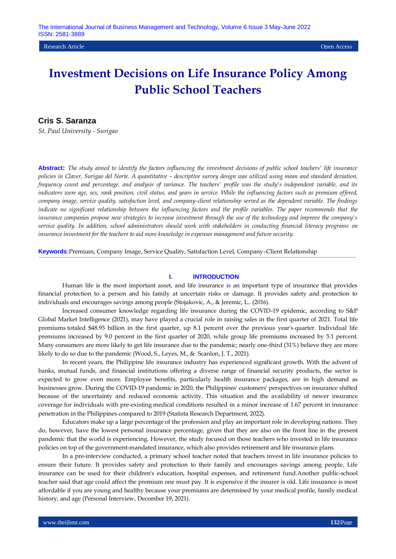**Cris S. Saranza**

*St. Paul University - Surigao*

**Abstract:** *The study aimed to identify the factors influencing the investment decisions of public school teachers' life insurance policies in Claver, Surigao del Norte. A quantitative – descriptive survey design was utilized using mean and standard deviation, frequency count and percentage, and analysis of variance. The teachers' profile was the study's independent variable, and its indicators were age, sex, rank position, civil status, and years in service. While the influencing factors such as premium offered, company image, service quality, satisfaction level, and company-client relationship served as the dependent variable. The findings indicate no significant relationship between the influencing factors and the profile variables. The paper recommends that the insurance companies propose new strategies to increase investment through the use of the technology and improve the company's service quality. In addition, school administrators should work with stakeholders in conducting financial literacy programs on insurance investment for the teachers to aid more knowledge in expenses management and future security.*

**Keywords:**Premium, Company Image, Service Quality, Satisfaction Level, Company–Client Relationship

## **I. INTRODUCTION**

Human life is the most important asset, and life insurance is an important type of insurance that provides financial protection to a person and his family at uncertain risks or damage. It provides safety and protection to individuals and encourages savings among people (Stojakovic, A., & Jeremic, L.. (2016).

Increased consumer knowledge regarding life insurance during the COVID-19 epidemic, according to S&P Global Market Intelligence (2021), may have played a crucial role in raising sales in the first quarter of 2021. Total life premiums totaled \$48.93 billion in the first quarter, up 8.1 percent over the previous year's quarter. Individual life premiums increased by 9.0 percent in the first quarter of 2020, while group life premiums increased by 5.1 percent. Many consumers are more likely to get life insurance due to the pandemic; nearly one-third (31%) believe they are more likely to do so due to the pandemic (Wood, S., Leyes, M., & Scanlon, J. T., 2021).

In recent years, the Philippine life insurance industry has experienced significant growth. With the advent of banks, mutual funds, and financial institutions offering a diverse range of financial security products, the sector is expected to grow even more. Employee benefits, particularly health insurance packages, are in high demand as businesses grow. During the COVID-19 pandemic in 2020, the Philippines' customers' perspectives on insurance shifted because of the uncertainty and reduced economic activity. This situation and the availability of newer insurance coverage for individuals with pre-existing medical conditions resulted in a minor increase of 1.67 percent in insurance penetration in the Philippines compared to 2019 (Statista Research Department, 2022).

Educators make up a large percentage of the profession and play an important role in developing nations. They do, however, have the lowest personal insurance percentage, given that they are also on the front line in the present pandemic that the world is experiencing. However, the study focused on those teachers who invested in life insurance policies on top of the government-mandated insurance, which also provides retirement and life insurance plans.

In a pre-interview conducted, a primary school teacher noted that teachers invest in life insurance policies to ensure their future. It provides safety and protection to their family and encourages savings among people. Life insurance can be used for their children's education, hospital expenses, and retirement fund.Another public-school teacher said that age could affect the premium one must pay. It is expensive if the insurer is old. Life insurance is most affordable if you are young and healthy because your premiums are determined by your medical profile, family medical history, and age (Personal Interview, December 19, 2021).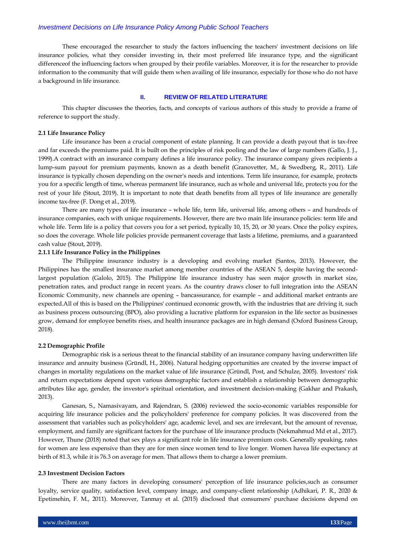These encouraged the researcher to study the factors influencing the teachers' investment decisions on life insurance policies, what they consider investing in, their most preferred life insurance type, and the significant differenceof the influencing factors when grouped by their profile variables. Moreover, it is for the researcher to provide information to the community that will guide them when availing of life insurance, especially for those who do not have a background in life insurance.

## **II. REVIEW OF RELATED LITERATURE**

This chapter discusses the theories, facts, and concepts of various authors of this study to provide a frame of reference to support the study.

## **2.1 Life Insurance Policy**

Life insurance has been a crucial component of estate planning. It can provide a death payout that is tax-free and far exceeds the premiums paid. It is built on the principles of risk pooling and the law of large numbers (Gallo, J. J., 1999).A contract with an insurance company defines a life insurance policy. The insurance company gives recipients a lump-sum payout for premium payments, known as a death benefit (Granovetter, M., & Swedberg, R., 2011). Life insurance is typically chosen depending on the owner's needs and intentions. Term life insurance, for example, protects you for a specific length of time, whereas permanent life insurance, such as whole and universal life, protects you for the rest of your life (Stout, 2019). It is important to note that death benefits from all types of life insurance are generally income tax-free (F. Dong et al., 2019).

There are many types of life insurance – whole life, term life, universal life, among others – and hundreds of insurance companies, each with unique requirements. However, there are two main life insurance policies: term life and whole life. Term life is a policy that covers you for a set period, typically 10, 15, 20, or 30 years. Once the policy expires, so does the coverage. Whole life policies provide permanent coverage that lasts a lifetime, premiums, and a guaranteed cash value (Stout, 2019).

## **2.1.1 Life Insurance Policy in the Philippines**

The Philippine insurance industry is a developing and evolving market (Santos, 2013). However, the Philippines has the smallest insurance market among member countries of the ASEAN 5, despite having the secondlargest population (Galolo, 2015). The Philippine life insurance industry has seen major growth in market size, penetration rates, and product range in recent years. As the country draws closer to full integration into the ASEAN Economic Community, new channels are opening – bancassurance, for example – and additional market entrants are expected.All of this is based on the Philippines' continued economic growth, with the industries that are driving it, such as business process outsourcing (BPO), also providing a lucrative platform for expansion in the life sector as businesses grow, demand for employee benefits rises, and health insurance packages are in high demand (Oxford Business Group, 2018).

#### **2.2 Demographic Profile**

Demographic risk is a serious threat to the financial stability of an insurance company having underwritten life insurance and annuity business (Gründl, H., 2006). Natural hedging opportunities are created by the inverse impact of changes in mortality regulations on the market value of life insurance (Gründl, Post, and Schulze, 2005). Investors' risk and return expectations depend upon various demographic factors and establish a relationship between demographic attributes like age, gender, the investor's spiritual orientation, and investment decision-making (Gakhar and Prakash, 2013).

Ganesan, S., Namasivayam, and Rajendran, S. (2006) reviewed the socio-economic variables responsible for acquiring life insurance policies and the policyholders' preference for company policies. It was discovered from the assessment that variables such as policyholders' age, academic level, and sex are irrelevant, but the amount of revenue, employment, and family are significant factors for the purchase of life insurance products (Nekmahmud Md et al., 2017). However, Thune (2018) noted that sex plays a significant role in life insurance premium costs. Generally speaking, rates for women are less expensive than they are for men since women tend to live longer. Women havea life expectancy at birth of 81.3, while it is 76.3 on average for men. That allows them to charge a lower premium.

#### **2.3 Investment Decision Factors**

There are many factors in developing consumers' perception of life insurance policies,such as consumer loyalty, service quality, satisfaction level, company image, and company-client relationship (Adhikari, P. R., 2020 & Epetimehin, F. M., 2011). Moreover, Tanmay et al. (2015) disclosed that consumers' purchase decisions depend on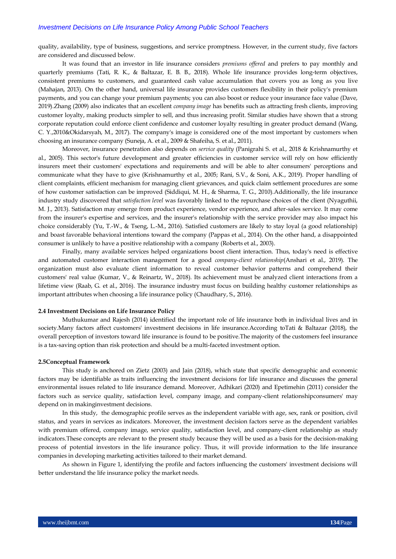quality, availability, type of business, suggestions, and service promptness. However, in the current study, five factors are considered and discussed below.

It was found that an investor in life insurance considers *premiums offered* and prefers to pay monthly and quarterly premiums (Tati, R. K., & Baltazar, E. B. B., 2018). Whole life insurance provides long-term objectives, consistent premiums to customers, and guaranteed cash value accumulation that covers you as long as you live (Mahajan, 2013). On the other hand, universal life insurance provides customers flexibility in their policy's premium payments, and you can change your premium payments; you can also boost or reduce your insurance face value (Dave, 2019).Zhang (2009) also indicates that an excellent *company image* has benefits such as attracting fresh clients, improving customer loyalty, making products simpler to sell, and thus increasing profit. Similar studies have shown that a strong corporate reputation could enforce client confidence and customer loyalty resulting in greater product demand (Wang, C. Y.,2010&Okidarsyah, M., 2017). The company's image is considered one of the most important by customers when choosing an insurance company (Suneja, A. et al., 2009 & Shafeiha, S. et al., 2011).

Moreover, insurance penetration also depends on *service quality* (Panigrahi S. et al., 2018 & Krishnamurthy et al., 2005). This sector's future development and greater efficiencies in customer service will rely on how efficiently insurers meet their customers' expectations and requirements and will be able to alter consumers' perceptions and communicate what they have to give (Krishnamurthy et al., 2005; Rani, S.V., & Soni, A.K., 2019). Proper handling of client complaints, efficient mechanism for managing client grievances, and quick claim settlement procedures are some of how customer satisfaction can be improved (Siddiqui, M. H., & Sharma, T. G., 2010).Additionally, the life insurance industry study discovered that *satisfaction level* was favorably linked to the repurchase choices of the client (Nyaguthii, M. J., 2013). Satisfaction may emerge from product experience, vendor experience, and after-sales service. It may come from the insurer's expertise and services, and the insurer's relationship with the service provider may also impact his choice considerably (Yu, T.-W., & Tseng, L.-M., 2016). Satisfied customers are likely to stay loyal (a good relationship) and boast favorable behavioral intentions toward the company (Pappas et al., 2014). On the other hand, a disappointed consumer is unlikely to have a positive relationship with a company (Roberts et al., 2003).

Finally, many available services helped organizations boost client interaction. Thus, today's need is effective and automated customer interaction management for a good *company-client relationship*(Anshari et al., 2019). The organization must also evaluate client information to reveal customer behavior patterns and comprehend their customers' real value (Kumar, V., & Reinartz, W., 2018). Its achievement must be analyzed client interactions from a lifetime view (Raab, G. et al., 2016). The insurance industry must focus on building healthy customer relationships as important attributes when choosing a life insurance policy (Chaudhary, S., 2016).

#### **2.4 Investment Decisions on Life Insurance Policy**

Muthukumar and Rajesh (2014) identified the important role of life insurance both in individual lives and in society.Many factors affect customers' investment decisions in life insurance.According toTati & Baltazar (2018), the overall perception of investors toward life insurance is found to be positive.The majority of the customers feel insurance is a tax-saving option than risk protection and should be a multi-faceted investment option.

#### **2.5Conceptual Framework**

This study is anchored on Zietz (2003) and Jain (2018), which state that specific demographic and economic factors may be identifiable as traits influencing the investment decisions for life insurance and discusses the general environmental issues related to life insurance demand. Moreover, Adhikari (2020) and Epetimehin (2011) consider the factors such as service quality, satisfaction level, company image, and company-client relationshipconsumers' may depend on in makinginvestment decisions.

In this study, the demographic profile serves as the independent variable with age, sex, rank or position, civil status, and years in services as indicators. Moreover, the investment decision factors serve as the dependent variables with premium offered, company image, service quality, satisfaction level, and company-client relationship as study indicators.These concepts are relevant to the present study because they will be used as a basis for the decision-making process of potential investors in the life insurance policy. Thus, it will provide information to the life insurance companies in developing marketing activities tailored to their market demand.

As shown in Figure 1, identifying the profile and factors influencing the customers' investment decisions will better understand the life insurance policy the market needs.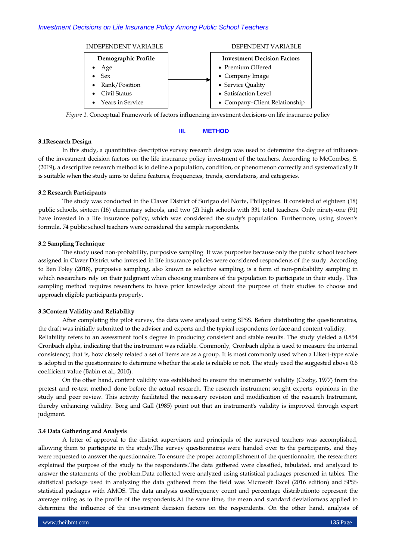



## **III. METHOD**

## **3.1Research Design**

In this study, a quantitative descriptive survey research design was used to determine the degree of influence of the investment decision factors on the life insurance policy investment of the teachers. According to McCombes, S. (2019), a descriptive research method is to define a population, condition, or phenomenon correctly and systematically.It is suitable when the study aims to define features, frequencies, trends, correlations, and categories.

#### **3.2 Research Participants**

The study was conducted in the Claver District of Surigao del Norte, Philippines. It consisted of eighteen (18) public schools, sixteen (16) elementary schools, and two (2) high schools with 331 total teachers. Only ninety-one (91) have invested in a life insurance policy, which was considered the study's population. Furthermore, using sloven's formula, 74 public school teachers were considered the sample respondents.

## **3.2 Sampling Technique**

The study used non-probability, purposive sampling. It was purposive because only the public school teachers assigned in Claver District who invested in life insurance policies were considered respondents of the study. According to Ben Foley (2018), purposive sampling, also known as selective sampling, is a form of non-probability sampling in which researchers rely on their judgment when choosing members of the population to participate in their study. This sampling method requires researchers to have prior knowledge about the purpose of their studies to choose and approach eligible participants properly.

# **3.3Content Validity and Reliability**

After completing the pilot survey, the data were analyzed using SPSS. Before distributing the questionnaires, the draft was initially submitted to the adviser and experts and the typical respondents for face and content validity. Reliability refers to an assessment tool's degree in producing consistent and stable results. The study yielded a 0.854 Cronbach alpha, indicating that the instrument was reliable. Commonly, Cronbach alpha is used to measure the internal consistency; that is, how closely related a set of items are as a group. It is most commonly used when a Likert-type scale is adopted in the questionnaire to determine whether the scale is reliable or not. The study used the suggested above 0.6 coefficient value (Babin et al., 2010).

On the other hand, content validity was established to ensure the instruments' validity (Cozby, 1977) from the pretest and re-test method done before the actual research. The research instrument sought experts' opinions in the study and peer review. This activity facilitated the necessary revision and modification of the research Instrument, thereby enhancing validity. Borg and Gall (1985) point out that an instrument's validity is improved through expert judgment.

## **3.4 Data Gathering and Analysis**

A letter of approval to the district supervisors and principals of the surveyed teachers was accomplished, allowing them to participate in the study.The survey questionnaires were handed over to the participants, and they were requested to answer the questionnaire. To ensure the proper accomplishment of the questionnaire, the researchers explained the purpose of the study to the respondents.The data gathered were classified, tabulated, and analyzed to answer the statements of the problem.Data collected were analyzed using statistical packages presented in tables. The statistical package used in analyzing the data gathered from the field was Microsoft Excel (2016 edition) and SPSS statistical packages with AMOS. The data analysis usedfrequency count and percentage distributionto represent the average rating as to the profile of the respondents.At the same time, the mean and standard deviationwas applied to determine the influence of the investment decision factors on the respondents. On the other hand, analysis of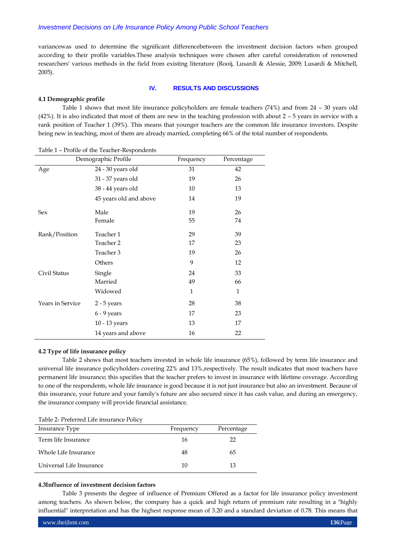variancewas used to determine the significant differencebetween the investment decision factors when grouped according to their profile variables.These analysis techniques were chosen after careful consideration of renowned researchers' various methods in the field from existing literature (Rooij, Lusardi & Alessie, 2009; Lusardi & Mitchell, 2005).

## **IV. RESULTS AND DISCUSSIONS**

#### **4.1 Demographic profile**

Table 1 shows that most life insurance policyholders are female teachers (74%) and from 24 – 30 years old (42%). It is also indicated that most of them are new in the teaching profession with about 2 – 5 years in service with a rank position of Teacher 1 (39%). This means that younger teachers are the common life insurance investors. Despite being new in teaching, most of them are already married, completing 66% of the total number of respondents.

| Demographic Profile |                        | Frequency    | Percentage |
|---------------------|------------------------|--------------|------------|
| Age                 | 24 - 30 years old      | 31           | 42         |
|                     | 31 - 37 years old      | 19           | 26         |
|                     | 38 - 44 years old      | 10           | 13         |
|                     | 45 years old and above | 14           | 19         |
| Sex                 | Male                   | 19           | 26         |
|                     | Female                 | 55           | 74         |
| Rank/Position       | Teacher 1              | 29           | 39         |
|                     | Teacher 2              | 17           | 23         |
|                     | Teacher 3              | 19           | 26         |
| Others              |                        | 9            | 12         |
| Civil Status        | Single                 | 24           | 33         |
|                     | Married                | 49           | 66         |
| Widowed             |                        | $\mathbf{1}$ | 1          |
| Years in Service    | $2 - 5$ years          | 28           | 38         |
|                     | $6 - 9$ years          | 17           | 23         |
|                     | 10 - 13 years          | 13           | 17         |
|                     | 14 years and above     | 16           | 22         |

Table 1 – Profile of the Teacher-Respondents

## **4.2 Type of life insurance policy**

Table 2 shows that most teachers invested in whole life insurance (65%), followed by term life insurance and universal life insurance policyholders covering 22% and 13%,respectively. The result indicates that most teachers have permanent life insurance; this specifies that the teacher prefers to invest in insurance with lifetime coverage. According to one of the respondents, whole life insurance is good because it is not just insurance but also an investment. Because of this insurance, your future and your family's future are also secured since it has cash value, and during an emergency, the insurance company will provide financial assistance.

| Insurance Type           | Frequency | Percentage |
|--------------------------|-----------|------------|
| Term life Insurance      | 16        | 22         |
| Whole Life Insurance     | 48        | 65         |
| Universal Life Insurance | 10        | 13         |

#### **4.3Influence of investment decision factors**

Table 3 presents the degree of influence of Premium Offered as a factor for life insurance policy investment among teachers. As shown below, the company has a quick and high return of premium rate resulting in a "highly influential" interpretation and has the highest response mean of 3.20 and a standard deviation of 0.78. This means that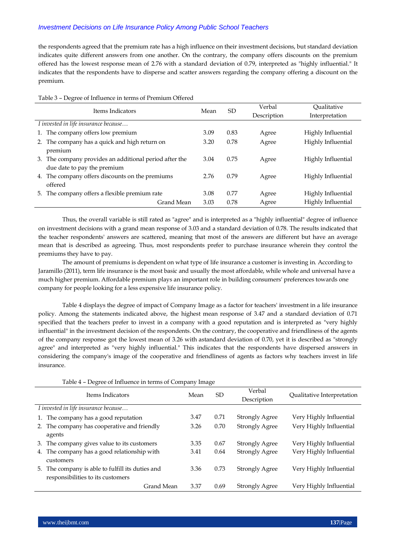the respondents agreed that the premium rate has a high influence on their investment decisions, but standard deviation indicates quite different answers from one another. On the contrary, the company offers discounts on the premium offered has the lowest response mean of 2.76 with a standard deviation of 0.79, interpreted as "highly influential." It indicates that the respondents have to disperse and scatter answers regarding the company offering a discount on the premium.

| Oualitative<br>Interpretation |
|-------------------------------|
|                               |
|                               |
|                               |
| Highly Influential            |
| Highly Influential            |
|                               |
| Highly Influential            |
|                               |
| Highly Influential            |
|                               |
| Highly Influential            |
| Highly Influential            |
|                               |

Thus, the overall variable is still rated as "agree" and is interpreted as a "highly influential" degree of influence on investment decisions with a grand mean response of 3.03 and a standard deviation of 0.78. The results indicated that the teacher respondents' answers are scattered, meaning that most of the answers are different but have an average mean that is described as agreeing. Thus, most respondents prefer to purchase insurance wherein they control the premiums they have to pay.

The amount of premiums is dependent on what type of life insurance a customer is investing in. According to Jaramillo (2011), term life insurance is the most basic and usually the most affordable, while whole and universal have a much higher premium. Affordable premium plays an important role in building consumers' preferences towards one company for people looking for a less expensive life insurance policy.

Table 4 displays the degree of impact of Company Image as a factor for teachers' investment in a life insurance policy. Among the statements indicated above, the highest mean response of 3.47 and a standard deviation of 0.71 specified that the teachers prefer to invest in a company with a good reputation and is interpreted as "very highly influential" in the investment decision of the respondents. On the contrary, the cooperative and friendliness of the agents of the company response got the lowest mean of 3.26 with astandard deviation of 0.70, yet it is described as "strongly agree" and interpreted as "very highly influential." This indicates that the respondents have dispersed answers in considering the company's image of the cooperative and friendliness of agents as factors why teachers invest in life insurance.

|                  | Table 4 - Degree of Influence in terms of Company Image |      |           |                       |                            |  |  |
|------------------|---------------------------------------------------------|------|-----------|-----------------------|----------------------------|--|--|
| Items Indicators |                                                         | Mean | <b>SD</b> | Verbal<br>Description | Qualitative Interpretation |  |  |
|                  | I invested in life insurance because                    |      |           |                       |                            |  |  |
| 1.               | The company has a good reputation                       | 3.47 | 0.71      | <b>Strongly Agree</b> | Very Highly Influential    |  |  |
|                  | 2. The company has cooperative and friendly             | 3.26 | 0.70      | <b>Strongly Agree</b> | Very Highly Influential    |  |  |
|                  | agents                                                  |      |           |                       |                            |  |  |
|                  | 3. The company gives value to its customers             | 3.35 | 0.67      | <b>Strongly Agree</b> | Very Highly Influential    |  |  |
|                  | 4. The company has a good relationship with             | 3.41 | 0.64      | <b>Strongly Agree</b> | Very Highly Influential    |  |  |
|                  | customers                                               |      |           |                       |                            |  |  |
|                  | 5. The company is able to fulfill its duties and        | 3.36 | 0.73      | <b>Strongly Agree</b> | Very Highly Influential    |  |  |
|                  | responsibilities to its customers                       |      |           |                       |                            |  |  |
|                  | Grand Mean                                              | 3.37 | 0.69      | <b>Strongly Agree</b> | Very Highly Influential    |  |  |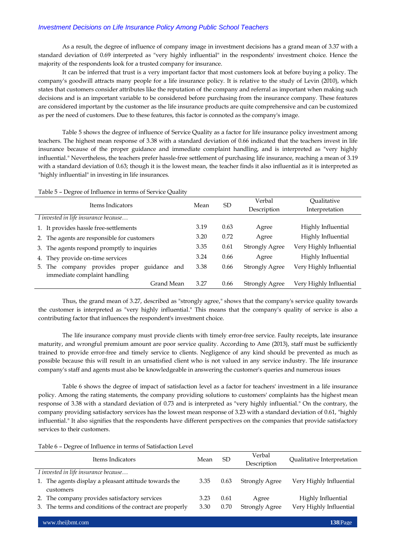As a result, the degree of influence of company image in investment decisions has a grand mean of 3.37 with a standard deviation of 0.69 interpreted as "very highly influential" in the respondents' investment choice. Hence the majority of the respondents look for a trusted company for insurance.

It can be inferred that trust is a very important factor that most customers look at before buying a policy. The company's goodwill attracts many people for a life insurance policy. It is relative to the study of Levin (2010), which states that customers consider attributes like the reputation of the company and referral as important when making such decisions and is an important variable to be considered before purchasing from the insurance company. These features are considered important by the customer as the life insurance products are quite comprehensive and can be customized as per the need of customers. Due to these features, this factor is connoted as the company's image.

Table 5 shows the degree of influence of Service Quality as a factor for life insurance policy investment among teachers. The highest mean response of 3.38 with a standard deviation of 0.66 indicated that the teachers invest in life insurance because of the proper guidance and immediate complaint handling, and is interpreted as "very highly influential." Nevertheless, the teachers prefer hassle-free settlement of purchasing life insurance, reaching a mean of 3.19 with a standard deviation of 0.63; though it is the lowest mean, the teacher finds it also influential as it is interpreted as "highly influential" in investing in life insurances.

#### Table 5 – Degree of Influence in terms of Service Quality

| Items Indicators                            |                                                   | Mean | <b>SD</b> | Verbal                | Oualitative             |
|---------------------------------------------|---------------------------------------------------|------|-----------|-----------------------|-------------------------|
|                                             |                                                   |      |           | Description           | Interpretation          |
|                                             | I invested in life insurance because              |      |           |                       |                         |
|                                             | 1. It provides hassle free-settlements            | 3.19 | 0.63      | Agree                 | Highly Influential      |
| 2. The agents are responsible for customers |                                                   | 3.20 | 0.72      | Agree                 | Highly Influential      |
| 3. The agents respond promptly to inquiries |                                                   | 3.35 | 0.61      | <b>Strongly Agree</b> | Very Highly Influential |
|                                             | 4. They provide on-time services                  | 3.24 | 0.66      | Agree                 | Highly Influential      |
| 5.                                          | provides proper<br>guidance and<br>The<br>company | 3.38 | 0.66      | <b>Strongly Agree</b> | Very Highly Influential |
|                                             | immediate complaint handling                      |      |           |                       |                         |
|                                             | Grand Mean                                        | 3.27 | 0.66      | <b>Strongly Agree</b> | Very Highly Influential |

Thus, the grand mean of 3.27, described as "strongly agree," shows that the company's service quality towards the customer is interpreted as "very highly influential." This means that the company's quality of service is also a contributing factor that influences the respondent's investment choice.

The life insurance company must provide clients with timely error-free service. Faulty receipts, late insurance maturity, and wrongful premium amount are poor service quality. According to Ame (2013), staff must be sufficiently trained to provide error-free and timely service to clients. Negligence of any kind should be prevented as much as possible because this will result in an unsatisfied client who is not valued in any service industry. The life insurance company's staff and agents must also be knowledgeable in answering the customer's queries and numerous issues

Table 6 shows the degree of impact of satisfaction level as a factor for teachers' investment in a life insurance policy. Among the rating statements, the company providing solutions to customers' complaints has the highest mean response of 3.38 with a standard deviation of 0.73 and is interpreted as "very highly influential." On the contrary, the company providing satisfactory services has the lowest mean response of 3.23 with a standard deviation of 0.61, "highly influential." It also signifies that the respondents have different perspectives on the companies that provide satisfactory services to their customers.

#### Table 6 – Degree of Influence in terms of Satisfaction Level

| Items Indicators |                                                          | Mean | SD.  | Verbal<br>Description | Qualitative Interpretation |
|------------------|----------------------------------------------------------|------|------|-----------------------|----------------------------|
|                  | I invested in life insurance because                     |      |      |                       |                            |
|                  | 1. The agents display a pleasant attitude towards the    | 3.35 | 0.63 | <b>Strongly Agree</b> | Very Highly Influential    |
|                  | customers                                                |      |      |                       |                            |
|                  | 2. The company provides satisfactory services            | 3.23 | 0.61 | Agree                 | Highly Influential         |
|                  | 3. The terms and conditions of the contract are properly | 3.30 | 0.70 | <b>Strongly Agree</b> | Very Highly Influential    |
|                  |                                                          |      |      |                       |                            |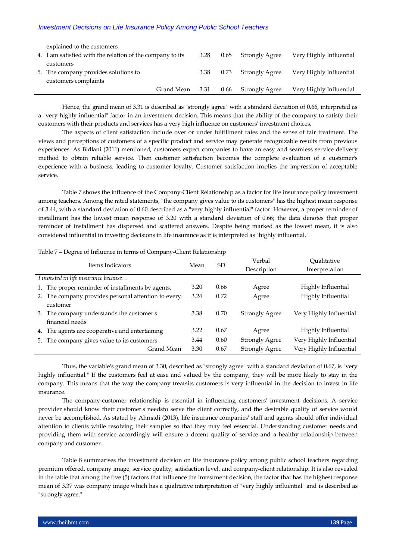| explained to the customers                                |            |      |      |                       |                         |
|-----------------------------------------------------------|------------|------|------|-----------------------|-------------------------|
| 4. I am satisfied with the relation of the company to its |            | 3.28 | 0.65 | Strongly Agree        | Very Highly Influential |
| customers                                                 |            |      |      |                       |                         |
| 5. The company provides solutions to                      |            | 3.38 | 0.73 | Strongly Agree        | Very Highly Influential |
| customers'complaints                                      |            |      |      |                       |                         |
|                                                           | Grand Mean | 3.31 | 0.66 | <b>Strongly Agree</b> | Very Highly Influential |

Hence, the grand mean of 3.31 is described as "strongly agree" with a standard deviation of 0.66, interpreted as a "very highly influential" factor in an investment decision. This means that the ability of the company to satisfy their customers with their products and services has a very high influence on customers' investment choices.

The aspects of client satisfaction include over or under fulfillment rates and the sense of fair treatment. The views and perceptions of customers of a specific product and service may generate recognizable results from previous experiences. As Bidlani (2011) mentioned, customers expect companies to have an easy and seamless service delivery method to obtain reliable service. Then customer satisfaction becomes the complete evaluation of a customer's experience with a business, leading to customer loyalty. Customer satisfaction implies the impression of acceptable service.

Table 7 shows the influence of the Company-Client Relationship as a factor for life insurance policy investment among teachers. Among the rated statements, "the company gives value to its customers" has the highest mean response of 3.44, with a standard deviation of 0.60 described as a "very highly influential" factor. However, a proper reminder of installment has the lowest mean response of 3.20 with a standard deviation of 0.66; the data denotes that proper reminder of installment has dispersed and scattered answers. Despite being marked as the lowest mean, it is also considered influential in investing decisions in life insurance as it is interpreted as "highly influential."

| Items Indicators |                                                  | Mean | <b>SD</b> | Verbal                | Oualitative             |
|------------------|--------------------------------------------------|------|-----------|-----------------------|-------------------------|
|                  |                                                  |      |           | Description           | Interpretation          |
|                  | I invested in life insurance because             |      |           |                       |                         |
| 1.               | The proper reminder of installments by agents.   | 3.20 | 0.66      | Agree                 | Highly Influential      |
| 2.               | The company provides personal attention to every | 3.24 | 0.72      | Agree                 | Highly Influential      |
|                  | customer                                         |      |           |                       |                         |
| 3.               | The company understands the customer's           | 3.38 | 0.70      | <b>Strongly Agree</b> | Very Highly Influential |
|                  | financial needs                                  |      |           |                       |                         |
| 4.               | The agents are cooperative and entertaining      | 3.22 | 0.67      | Agree                 | Highly Influential      |
| 5.               | The company gives value to its customers         | 3.44 | 0.60      | <b>Strongly Agree</b> | Very Highly Influential |
|                  | Grand Mean                                       | 3.30 | 0.67      | <b>Strongly Agree</b> | Very Highly Influential |

Table 7 – Degree of Influence in terms of Company-Client Relationship

Thus, the variable's grand mean of 3.30, described as "strongly agree" with a standard deviation of 0.67, is "very highly influential." If the customers feel at ease and valued by the company, they will be more likely to stay in the company. This means that the way the company treatsits customers is very influential in the decision to invest in life insurance.

The company-customer relationship is essential in influencing customers' investment decisions. A service provider should know their customer's needsto serve the client correctly, and the desirable quality of service would never be accomplished. As stated by Ahmadi (2013), life insurance companies' staff and agents should offer individual attention to clients while resolving their samples so that they may feel essential. Understanding customer needs and providing them with service accordingly will ensure a decent quality of service and a healthy relationship between company and customer.

Table 8 summarises the investment decision on life insurance policy among public school teachers regarding premium offered, company image, service quality, satisfaction level, and company-client relationship. It is also revealed in the table that among the five (5) factors that influence the investment decision, the factor that has the highest response mean of 3.37 was company image which has a qualitative interpretation of "very highly influential" and is described as "strongly agree."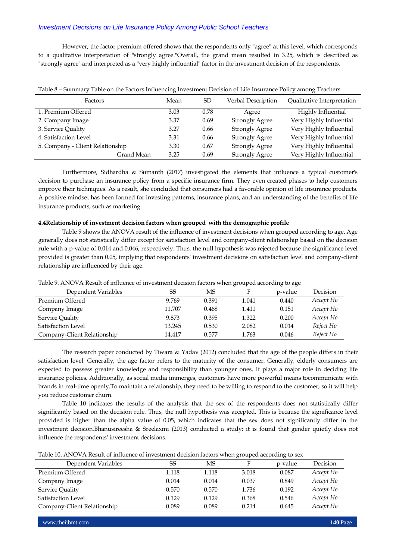However, the factor premium offered shows that the respondents only "agree" at this level, which corresponds to a qualitative interpretation of "strongly agree."Overall, the grand mean resulted in 3.25, which is described as "strongly agree" and interpreted as a "very highly influential" factor in the investment decision of the respondents.

| Factors<br>Mean                  |      | SD   | Verbal Description    | Qualitative Interpretation |
|----------------------------------|------|------|-----------------------|----------------------------|
| 1. Premium Offered               | 3.03 | 0.78 | Agree                 | Highly Influential         |
| 2. Company Image                 | 3.37 | 0.69 | <b>Strongly Agree</b> | Very Highly Influential    |
| 3. Service Quality               | 3.27 | 0.66 | <b>Strongly Agree</b> | Very Highly Influential    |
| 4. Satisfaction Level            | 3.31 | 0.66 | <b>Strongly Agree</b> | Very Highly Influential    |
| 5. Company - Client Relationship | 3.30 | 0.67 | <b>Strongly Agree</b> | Very Highly Influential    |
| Grand Mean                       | 3.25 | 0.69 | <b>Strongly Agree</b> | Very Highly Influential    |

Table 8 – Summary Table on the Factors Influencing Investment Decision of Life Insurance Policy among Teachers

Furthermore, Sidhardha & Sumanth (2017) investigated the elements that influence a typical customer's decision to purchase an insurance policy from a specific insurance firm. They even created phases to help customers improve their techniques. As a result, she concluded that consumers had a favorable opinion of life insurance products. A positive mindset has been formed for investing patterns, insurance plans, and an understanding of the benefits of life insurance products, such as marketing.

#### **4.4Relationship of investment decision factors when grouped with the demographic profile**

Table 9 shows the ANOVA result of the influence of investment decisions when grouped according to age. Age generally does not statistically differ except for satisfaction level and company-client relationship based on the decision rule with a p-value of 0.014 and 0.046, respectively. Thus, the null hypothesis was rejected because the significance level provided is greater than 0.05, implying that respondents' investment decisions on satisfaction level and company-client relationship are influenced by their age.

| Dependent Variables         | SS     | MS    | F     | p-value | Decision  |
|-----------------------------|--------|-------|-------|---------|-----------|
| Premium Offered             | 9.769  | 0.391 | 1.041 | 0.440   | Accept Ho |
| Company Image               | 11.707 | 0.468 | 1.411 | 0.151   | Accept Ho |
| Service Quality             | 9.873  | 0.395 | 1.322 | 0.200   | Accept Ho |
| Satisfaction Level          | 13.245 | 0.530 | 2.082 | 0.014   | Reject Ho |
| Company-Client Relationship | 14.417 | 0.577 | 1.763 | 0.046   | Reject Ho |

Table 9. ANOVA Result of influence of investment decision factors when grouped according to age

The research paper conducted by Tiwara & Yadav (2012) concluded that the age of the people differs in their satisfaction level. Generally, the age factor refers to the maturity of the consumer. Generally, elderly consumers are expected to possess greater knowledge and responsibility than younger ones. It plays a major role in deciding life insurance policies. Additionally, as social media immerges, customers have more powerful means tocommunicate with brands in real-time openly.To maintain a relationship, they need to be willing to respond to the customer, so it will help you reduce customer churn.

Table 10 indicates the results of the analysis that the sex of the respondents does not statistically differ significantly based on the decision rule. Thus, the null hypothesis was accepted. This is because the significance level provided is higher than the alpha value of 0.05, which indicates that the sex does not significantly differ in the investment decision.Bhanusireesha & Sreelaxmi (2013) conducted a study; it is found that gender quietly does not influence the respondents' investment decisions.

Table 10. ANOVA Result of influence of investment decision factors when grouped according to sex

| Dependent Variables         | SS    | MS    | F     | p-value | Decision  |
|-----------------------------|-------|-------|-------|---------|-----------|
| Premium Offered             | 1.118 | 1.118 | 3.018 | 0.087   | Accept Ho |
| Company Image               | 0.014 | 0.014 | 0.037 | 0.849   | Accept Ho |
| Service Quality             | 0.570 | 0.570 | 1.736 | 0.192   | Accept Ho |
| Satisfaction Level          | 0.129 | 0.129 | 0.368 | 0.546   | Accept Ho |
| Company-Client Relationship | 0.089 | 0.089 | 0.214 | 0.645   | Accept Ho |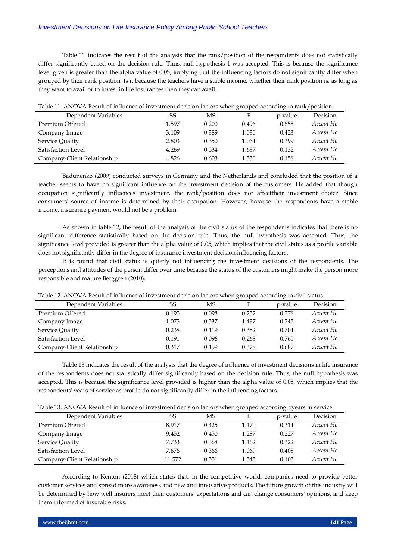Table 11 indicates the result of the analysis that the rank/position of the respondents does not statistically differ significantly based on the decision rule. Thus, null hypothesis 1 was accepted. This is because the significance level given is greater than the alpha value of 0.05, implying that the influencing factors do not significantly differ when grouped by their rank position. Is it because the teachers have a stable income, whether their rank position is, as long as they want to avail or to invest in life insurances then they can avail.

| Dependent Variables         | SS    | МS    |       | p-value | Decision  |
|-----------------------------|-------|-------|-------|---------|-----------|
| Premium Offered             | 1.597 | 0.200 | 0.496 | 0.855   | Accept Ho |
| Company Image               | 3.109 | 0.389 | 1.030 | 0.423   | Accept Ho |
| Service Quality             | 2.803 | 0.350 | 1.064 | 0.399   | Accept Ho |
| Satisfaction Level          | 4.269 | 0.534 | 1.637 | 0.132   | Accept Ho |
| Company-Client Relationship | 4.826 | 0.603 | 1.550 | 0.158   | Accept Ho |

Table 11. ANOVA Result of influence of investment decision factors when grouped according to rank/position

Badunenko (2009) conducted surveys in Germany and the Netherlands and concluded that the position of a teacher seems to have no significant influence on the investment decision of the customers. He added that though occupation significantly influences investment, the rank/position does not affecttheir investment choice. Since consumers' source of income is determined by their occupation. However, because the respondents have a stable income, insurance payment would not be a problem.

As shown in table 12, the result of the analysis of the civil status of the respondents indicates that there is no significant difference statistically based on the decision rule. Thus, the null hypothesis was accepted. Thus, the significance level provided is greater than the alpha value of 0.05, which implies that the civil status as a profile variable does not significantly differ in the degree of insurance investment decision influencing factors.

It is found that civil status is quietly not influencing the investment decisions of the respondents. The perceptions and attitudes of the person differ over time because the status of the customers might make the person more responsible and mature Berggren (2010).

| Dependent Variables         | SS    | MS    | F     | p-value | Decision  |
|-----------------------------|-------|-------|-------|---------|-----------|
| Premium Offered             | 0.195 | 0.098 | 0.252 | 0.778   | Accept Ho |
| Company Image               | 1.075 | 0.537 | 1.437 | 0.245   | Accept Ho |
| Service Quality             | 0.238 | 0.119 | 0.352 | 0.704   | Accept Ho |
| Satisfaction Level          | 0.191 | 0.096 | 0.268 | 0.765   | Accept Ho |
| Company-Client Relationship | 0.317 | 0.159 | 0.378 | 0.687   | Accept Ho |

Table 12. ANOVA Result of influence of investment decision factors when grouped according to civil status

Table 13 indicates the result of the analysis that the degree of influence of investment decisions in life insurance of the respondents does not statistically differ significantly based on the decision rule. Thus, the null hypothesis was accepted. This is because the significance level provided is higher than the alpha value of 0.05, which implies that the respondents' years of service as profile do not significantly differ in the influencing factors.

| Table 13. ANOVA Result of influence of investment decision factors when grouped accordingtoyears in service |  |  |  |  |  |
|-------------------------------------------------------------------------------------------------------------|--|--|--|--|--|

| Dependent Variables         | SS     | MS    | F     | p-value | Decision  |
|-----------------------------|--------|-------|-------|---------|-----------|
| Premium Offered             | 8.917  | 0.425 | 1.170 | 0.314   | Accept Ho |
| Company Image               | 9.452  | 0.450 | 1.287 | 0.227   | Accept Ho |
| Service Quality             | 7.733  | 0.368 | 1.162 | 0.322   | Accept Ho |
| Satisfaction Level          | 7.676  | 0.366 | 1.069 | 0.408   | Accept Ho |
| Company-Client Relationship | 11.572 | 0.551 | 1.545 | 0.103   | Accept Ho |

According to Kenton (2018) which states that, in the competitive world, companies need to provide better customer services and spread more awareness and new and innovative products. The future growth of this industry will be determined by how well insurers meet their customers' expectations and can change consumers' opinions, and keep them informed of insurable risks.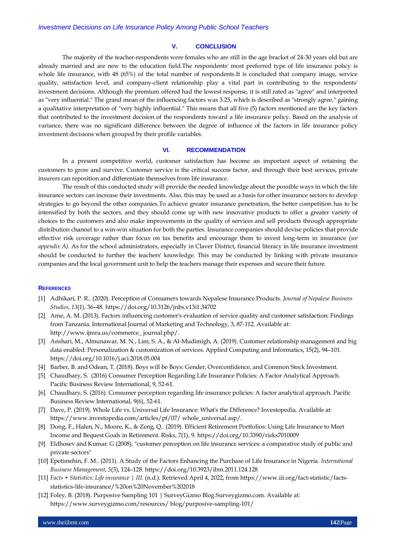#### **V. CONCLUSION**

The majority of the teacher-respondents were females who are still in the age bracket of 24-30 years old but are already married and are new to the education field.The respondents' most preferred type of life insurance policy is whole life insurance, with 48 (65%) of the total number of respondents.It is concluded that company image, service quality, satisfaction level, and company-client relationship play a vital part in contributing to the respondents' investment decisions. Although the premium offered had the lowest response, it is still rated as "agree" and interpreted as "very influential." The grand mean of the influencing factors was 3.25, which is described as "strongly agree," gaining a qualitative interpretation of "very highly influential." This means that all five (5) factors mentioned are the key factors that contributed to the investment decision of the respondents toward a life insurance policy. Based on the analysis of variance, there was no significant difference between the degree of influence of the factors in life insurance policy investment decisions when grouped by their profile variables.

## **VI. RECOMMENDATION**

In a present competitive world, customer satisfaction has become an important aspect of retaining the customers to grow and survive. Customer service is the critical success factor, and through their best services, private insurers can reposition and differentiate themselves from life insurance.

The result of this conducted study will provide the needed knowledge about the possible ways in which the life insurance sectors can increase their investments. Also, this may be used as a basis for other insurance sectors to develop strategies to go beyond the other companies.To achieve greater insurance penetration, the better competition has to be intensified by both the sectors, and they should come up with new innovative products to offer a greater variety of choices to the customers and also make improvements in the quality of services and sell products through appropriate distribution channel to a win-win situation for both the parties. Insurance companies should devise policies that provide effective risk coverage rather than focus on tax benefits and encourage them to invest long-term in insurance (*see appendix A).* As for the school administrators, especially in Claver District, financial literacy in life insurance investment should be conducted to further the teachers' knowledge. This may be conducted by linking with private insurance companies and the local government unit to help the teachers manage their expenses and secure their future.

#### **REFERENCES**

- [1] Adhikari, P. R.. (2020). Perception of Consumers towards Nepalese Insurance Products. *Journal of Nepalese Business Studies*, *13*(1), 36–48.<https://doi.org/10.3126/jnbs.v13i1.34702>
- [2] Ame, A. M. (2013). Factors influencing customer's evaluation of service quality and customer satisfaction: Findings from Tanzania. International Journal of Marketing and Technology, 3, 87-112. Available at: [http://www.ijmra.us/commerce\\_ journal.php/.](http://www.ijmra.us/commerce_%20journal.php/)
- [3] Anshari, M., Almunawar, M. N., Lim, S. A., & Al-Mudimigh, A. (2019). Customer relationship management and big data enabled: Personalization & customization of services. Applied Computing and Informatics, 15(2), 94–101. <https://doi.org/10.1016/j.aci.2018.05.004>
- [4] Barber, B. and Odean, T. (2018). Boys will be Boys: Gender, Overconfidence, and Common Stock Investment.
- [5] Chaudhary, S. (2016) Consumer Perception Regarding Life Insurance Policies: A Factor Analytical Approach. Pacific Business Review International, 9, 52-61.
- [6] Chaudhary, S. (2016). Consumer perception regarding life insurance policies: A factor analytical approach. Pacific Business Review International, 9(6), 52-61.
- [7] Dave, P. (2019). Whole Life vs. Universal Life Insurance: What's the Difference? Investopedia. Available at: <https://www.investopedia.com/articles/pf/07/> whole\_universal.asp/.
- [8] Dong, F., Halen, N., Moore, K., & Zeng, Q.. (2019). Efficient Retirement Portfolios: Using Life Insurance to Meet Income and Bequest Goals in Retirement. Risks, 7(1), 9[. https://doi.org/10.3390/risks7010009](https://doi.org/10.3390/risks7010009)
- [9] Eldhosev and Kumar. G (2008), "customer perception on life insurance services: a comparative study of public and private sectors"
- [10] Epetimehin, F. M.. (2011). A Study of the Factors Enhancing the Purchase of Life Insurance in Nigeria. *International Business Management*, *5*(3), 124–128.<https://doi.org/10.3923/ibm.2011.124.128>
- [11] *Facts + Statistics: Life insurance | III*. (n.d.). Retrieved April 4, 2022, fro[m https://www.iii.org/fact-statistic/facts](https://www.iii.org/fact-statistic/facts-statistics-life-insurance/%20on%20November%202018)[statistics-life-insurance/%20on%20November%202018](https://www.iii.org/fact-statistic/facts-statistics-life-insurance/%20on%20November%202018)
- [12] Foley, B. (2018). Purposive Sampling 101 | SurveyGizmo Blog.Surveygizmo.com. Available at: [https://www.surveygizmo.com/resources/ blog/purposive-sampling-101/](https://www.surveygizmo.com/resources/%20blog/purposive-sampling-101/)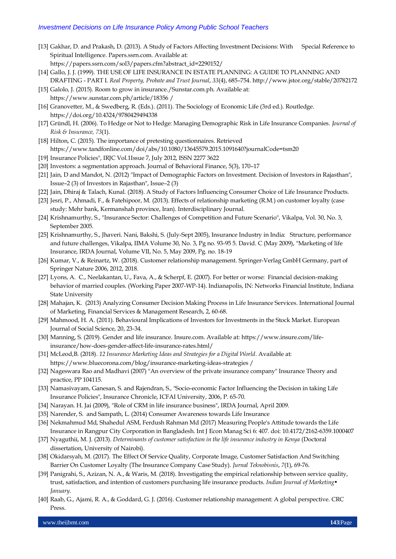- [13] Gakhar, D. and Prakash, D. (2013). A Study of Factors Affecting Investment Decisions: With Special Reference to Spiritual Intelligence. Papers.ssrn.com. Available at: [https://papers.ssrn.com/sol3/papers.cfm?abstract\\_id=2290152/](https://papers.ssrn.com/sol3/papers.cfm?abstract_id=2290152/)
- [14] Gallo, J. J. (1999). THE USE OF LIFE INSURANCE IN ESTATE PLANNING: A GUIDE TO PLANNING AND DRAFTING - PART I. *Real Property, Probate and Trust Journal*, *33*(4), 685–754. http://www.jstor.org/stable/20782172
- [15] Galolo, J. (2015). Room to grow in insurance./Sunstar.com.ph. Available at: https://www.sunstar.com.ph/article/18356 /
- [16] Granovetter, M., & Swedberg, R. (Eds.). (2011). The Sociology of Economic Life (3rd ed.). Routledge. <https://doi.org/10.4324/9780429494338>
- [17] Gründl, H. (2006). To Hedge or Not to Hedge: Managing Demographic Risk in Life Insurance Companies. *Journal of Risk & Insurance, 73*(1).
- [18] Hilton, C. (2015). The importance of pretesting questionnaires. Retrieved <https://www.tandfonline.com/doi/abs/10.1080/13645579.2015.1091640?journalCode=tsm20>
- [19] Insurance Policies", IRJC Vol.1Issue 7, July 2012, ISSN 2277 3622
- [20] Investors: a segmentation approach. Journal of Behavioral Finance, 5(3), 170–17
- [21] Jain, D and Mandot, N. (2012) "Impact of Demographic Factors on Investment. Decision of Investors in Rajasthan", Issue–2 (3) of Investors in Rajasthan", Issue–2 (3)
- [22] Jain, Dhiraj & Talach, Kunal. (2018). A Study of Factors Influencing Consumer Choice of Life Insurance Products.
- [23] Jesri, P., Ahmadi, F., & Fatehipoor, M. (2013). Effects of relationship marketing (R.M.) on customer loyalty (case study: Mehr bank, Kermanshah province, Iran). Interdisciplinary Journal.
- [24] Krishnamurthy, S., "Insurance Sector: Challenges of Competition and Future Scenario", Vikalpa, Vol. 30, No. 3, September 2005.
- [25] Krishnamurthy, S., Jhaveri. Nani, Bakshi, S. (July-Sept 2005), Insurance Industry in India: Structure, performance and future challenges, Vikalpa, IIMA Volume 30, No. 3, Pg no. 93-95 5. David. C (May 2009), "Marketing of life Insurance, IRDA Journal, Volume VII, No. 5, May 2009, Pg. no. 18-19
- [26] Kumar, V., & Reinartz, W. (2018). Customer relationship management. Springer-Verlag GmbH Germany, part of Springer Nature 2006, 2012, 2018.
- [27] Lyons, A. C., Neelakantan, U., Fava, A., & Scherpf, E. (2007). For better or worse: Financial decision-making behavior of married couples. (Working Paper 2007-WP-14). Indianapolis, IN: Networks Financial Institute, Indiana State University
- [28] Mahajan, K. (2013) Analyzing Consumer Decision Making Process in Life Insurance Services. International Journal of Marketing, Financial Services & Management Research, 2, 60-68.
- [29] Mahmood, H. A. (2011). Behavioural Implications of Investors for Investments in the Stock Market. European Journal of Social Science, 20, 23-34.
- [30] Manning, S. (2019). Gender and life insurance. Insure.com. Available at: [https://www.insure.com/life](https://www.insure.com/life-insurance/how-does-gender-affect-life-insurance-)[insurance/how-does-gender-affect-life-insurance-r](https://www.insure.com/life-insurance/how-does-gender-affect-life-insurance-)ates.html/
- [31] McLeod,B. (2018). *12 Insurance Marketing Ideas and Strategies for a Digital World*. Available at: [https://www.bluecorona.com/blog/insurance-marketing-ideas-strategies /](https://www.bluecorona.com/blog/insurance-marketing-ideas-strategies%20/)
- [32] Nageswara Rao and Madhavi (2007) "An overview of the private insurance company" Insurance Theory and practice, PP 104115.
- [33] Namasivayam, Ganesan, S. and Rajendran, S., "Socio-economic Factor Influencing the Decision in taking Life Insurance Policies", Insurance Chronicle, ICFAI University, 2006, P. 65-70.
- [34] Narayan. H. Jai (2009), "Role of CRM in life insurance business", IRDA Journal, April 2009.
- [35] Narender, S. and Sampath, L. (2014) Consumer Awareness towards Life Insurance
- [36] Nekmahmud Md, Shahedul ASM, Ferdush Rahman Md (2017) Measuring People's Attitude towards the Life Insurance in Rangpur City Corporation in Bangladesh. Int J Econ Manag Sci 6: 407. doi: 10.4172/2162-6359.1000407
- [37] Nyaguthii, M. J. (2013). *Determinants of customer satisfaction in the life insurance industry in Kenya* (Doctoral dissertation, University of Nairobi).
- [38] Okidarsyah, M. (2017). The Effect Of Service Quality, Corporate Image, Customer Satisfaction And Switching Barrier On Customer Loyalty (The Insurance Company Case Study). *Jurnal Teknobisnis*, *7*(1), 69-76.
- [39] Panigrahi, S., Azizan, N. A., & Waris, M. (2018). Investigating the empirical relationship between service quality, trust, satisfaction, and intention of customers purchasing life insurance products. *Indian Journal of Marketing• January*.
- [40] Raab, G., Ajami, R. A., & Goddard, G. J. (2016). Customer relationship management: A global perspective. CRC Press.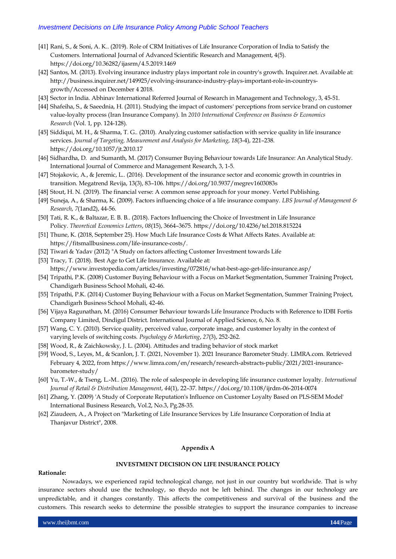- [41] Rani, S., & Soni, A. K.. (2019). Role of CRM Initiatives of Life Insurance Corporation of India to Satisfy the Customers. International Journal of Advanced Scientific Research and Management, 4(5). <https://doi.org/10.36282/ijasrm/4.5.2019.1469>
- [42] Santos, M. (2013). Evolving insurance industry plays important role in country's growth. Inquirer.net. Available at: [http://business.inquirer.net/149925/evolving-insurance-industry-plays-important-role-in-countrys](http://business.inquirer.net/149925/evolving-insurance-industry-plays-important-role-in-countrys-growth/Accessed)[growth/Accessed](http://business.inquirer.net/149925/evolving-insurance-industry-plays-important-role-in-countrys-growth/Accessed) on December 4 2018.
- [43] Sector in India. Abhinav International Referred Journal of Research in Management and Technology, 3, 45-51.
- [44] Shafeiha, S., & Saeednia, H. (2011). Studying the impact of customers' perceptions from service brand on customer value-loyalty process (Iran Insurance Company). In *2010 International Conference on Business & Economics Research* (Vol. 1, pp. 124-128).
- [45] Siddiqui, M. H., & Sharma, T. G.. (2010). Analyzing customer satisfaction with service quality in life insurance services. *Journal of Targeting, Measurement and Analysis for Marketing*, *18*(3-4), 221–238. <https://doi.org/10.1057/jt.2010.17>
- [46] Sidhardha, D. and Sumanth, M. (2017) Consumer Buying Behaviour towards Life Insurance: An Analytical Study. International Journal of Commerce and Management Research, 3, 1-5.
- [47] Stojakovic, A., & Jeremic, L.. (2016). Development of the insurance sector and economic growth in countries in transition. Megatrend Revija, 13(3), 83–106[. https://doi.org/10.5937/megrev1603083s](https://doi.org/10.5937/megrev1603083s)
- [48] Stout, H. N. (2019). The financial verse: A common sense approach for your money. Vertel Publishing.
- [49] Suneja, A., & Sharma, K. (2009). Factors influencing choice of a life insurance company. *LBS Journal of Management & Research*, *7*(1and2), 44-56.
- [50] Tati, R. K., & Baltazar, E. B. B.. (2018). Factors Influencing the Choice of Investment in Life Insurance Policy. *Theoretical Economics Letters*, *08*(15), 3664–3675[. https://doi.org/10.4236/tel.2018.815224](https://doi.org/10.4236/tel.2018.815224)
- [51] Thune, K. (2018, September 25). How Much Life Insurance Costs & What Affects Rates. Available at: [https://fitsmallbusiness.com/life-insurance-costs/.](https://fitsmallbusiness.com/life-insurance-costs/Accessed%20on%2023%20June%202019)
- [52] Tiwari & Yadav (2012) "A Study on factors affecting Customer Investment towards Life
- [53] Tracy, T. (2018). Best Age to Get Life Insurance. Available at:
- [https://www.investopedia.com/articles/investing/072816/what-best-age-get-life-insurance.asp/](https://www.investopedia.com/articles/investing/072816/what-best-age-get-life-insurance.asp/Accessed)
- [54] Tripathi, P.K. (2008) Customer Buying Behaviour with a Focus on Market Segmentation, Summer Training Project, Chandigarh Business School Mohali, 42-46.
- [55] Tripathi, P.K. (2014) Customer Buying Behaviour with a Focus on Market Segmentation, Summer Training Project, Chandigarh Business School Mohali, 42-46.
- [56] Vijaya Ragunathan, M. (2016) Consumer Behaviour towards Life Insurance Products with Reference to IDBI Fortis Company Limited, Dindigul District. International Journal of Applied Science, 6, No. 8.
- [57] Wang, C. Y. (2010). Service quality, perceived value, corporate image, and customer loyalty in the context of varying levels of switching costs. *Psychology & Marketing*, *27*(3), 252-262.
- [58] Wood, R., & Zaichkowsky, J. L. (2004). Attitudes and trading behavior of stock market
- [59] Wood, S., Leyes, M., & Scanlon, J. T. (2021, November 1). 2021 Insurance Barometer Study. LIMRA.com. Retrieved February 4, 2022, fro[m https://www.limra.com/en/research/research-abstracts-public/2021/2021-insurance](https://www.limra.com/en/research/research-abstracts-public/2021/2021-insurance-barometer-study/)[barometer-study/](https://www.limra.com/en/research/research-abstracts-public/2021/2021-insurance-barometer-study/)
- [60] Yu, T.-W., & Tseng, L.-M.. (2016). The role of salespeople in developing life insurance customer loyalty. *International Journal of Retail & Distribution Management*, *44*(1), 22–37.<https://doi.org/10.1108/ijrdm-06-2014-0074>
- [61] Zhang, Y. (2009) 'A Study of Corporate Reputation's Influence on Customer Loyalty Based on PLS-SEM Model' International Business Research, Vol.2, No.3, Pg.28-35.
- [62] Ziaudeen, A., A Project on "Marketing of Life Insurance Services by Life Insurance Corporation of India at Thanjavur District", 2008.

#### **Appendix A**

# **INVESTMENT DECISION ON LIFE INSURANCE POLICY**

#### **Rationale:**

Nowadays, we experienced rapid technological change, not just in our country but worldwide. That is why insurance sectors should use the technology, so theydo not be left behind. The changes in our technology are unpredictable, and it changes constantly. This affects the competitiveness and survival of the business and the customers. This research seeks to determine the possible strategies to support the insurance companies to increase